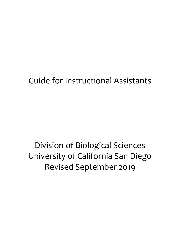# Guide for Instructional Assistants

# Division of Biological Sciences University of California San Diego Revised September 2019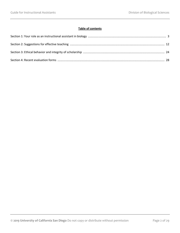# **Table of contents**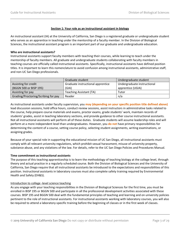# **Section 1: Your role as an instructional assistant in biology**

An instructional assistant (IA) at the University of California, San Diego is a registered graduate or undergraduate student who serves as an apprentice in teaching under the mentorship of a faculty member. In the Division of Biological Sciences, the instructional assistant program is an important part of our graduate and undergraduate education.

#### **Who are instructional assistants?**

Instructional assistants support faculty members with teaching their courses, while learning to teach under the mentorship of faculty members. All graduate and undergraduate students collaborating with faculty members in teaching courses are officially called instructional assistants. Specifically, instructional assistants have defined position titles. It is important to learn this nomenclature to avoid confusion among instructional assistants, administrative staff, and non-UC San Diego professionals.

|                                     | Graduate student                  | Undergraduate student       |
|-------------------------------------|-----------------------------------|-----------------------------|
| Assisting for credit                | Graduate instructional apprentice | Undergraduate instructional |
| (BGGN 500 or BISP 195)              | (GIA)                             | apprentice (UGIA)           |
| Assisting for pay                   | Teaching Assistant (TA)           | Tutor                       |
| Grading/Proctoring/Scribing for pay | Reader                            | n/a                         |

As instructional assistants under faculty supervision, you **may (depending on your specific position title defined above)** lead discussion sessions, hold office hours, conduct review sessions, assist instructors in administrative tasks related to the course, help prepare course materials and exams, proctor exams, grade students' work, maintain records of students' grades, assist in teaching laboratory sections, and provide guidance to other course instructional assistants. Not all instructional assistants will perform all of these duties. Graduate students will assume leadership roles and will perform at a more independent level than undergraduates. However, you **do not** have primary responsibilities for determining the content of a course, setting course policy, selecting student assignments, writing examinations, or assigning grades.

Because of your special role in supporting the educational mission of UC San Diego, all instructional assistants must comply with all relevant university regulations, which prohibit sexual harassment, misuse of university property, substance abuse, and any violations of the law. For details, refer to the UC San Diego Policies and Procedures Manual.

#### **Time commitment as instructional assistants**

The purpose of this teaching apprenticeship is to learn the methodology of teaching biology at the college level, through theory and actual practice in a regularly scheduled course. Both the Division of Biological Sciences and the University of California, San Diego require that all instructional assistants be introduced to the expectations and responsibilities of this position. Instructional assistants in laboratory courses must also complete safety training required by Environmental Health and Safety (EH&S).

#### Introduction to college -level science teaching

As you engage with your teaching responsibilities in the Division of Biological Sciences for the first time, you must be enrolled in BISP 195 or BGGN 500 and participate in all the professional development activities associated with these courses. BISP 195 and BGGN 500 deal with the fundamental principles of teaching and learning and on university policies pertinent to the role of instructional assistants. For instructional assistants working with laboratory courses, you will also be required to attend a laboratory-specific training before the beginning of classes or in the first week of classes.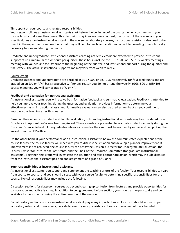# Time spent on your course and related responsibilities

Your responsibilities as instructional assistants start before the beginning of the quarter, when you meet with your course faculty to discuss the course. This discussion may involve course content, the format of the course, and your specific duties as an instructional assistant in the course. In laboratory courses, instructional assistants also need to be fluent in the experiments and methods that they will help to teach, and additional scheduled meeting time is typically necessary before and during the quarter.

Graduate and undergraduate instructional assistants earning academic credit are expected to provide instructional support of up a minimum of 120 hours per quarter. These hours include the BGGN 500 or BISP 195 weekly meetings, meeting with your course faculty prior to the beginning of the quarter, and instructional support during the quarter and finals week. The actual instructional support time may vary from week to week.

# Course credit

Graduate students and undergraduate are enrolled in BGGN 500 or BISP 195 respectively for four credit units and are graded on an S/U or P/NP basis respectively. If for any reason you do not attend the weekly BGGN 500 or BISP 195 course meetings, you will earn a grade of U or NP.

# **Feedback and evaluation for instructional assistants**

As instructional assistants, you will receive both formative feedback and summative evaluation. Feedback is intended to help you improve your teaching during the quarter, and evaluation provides information to determine your effectiveness as an instructional assistant. Summative evaluation can also be used as feedback as you continue to improve your teaching after this quarter.

Based on the outcome of student and faculty evaluation, outstanding instructional assistants may be considered for an Excellence in Apprentice College Teaching Award. These awards are presented to graduate students annually during the Divisional Science Retreat. Undergraduates who are chosen for the award will be notified by e-mail and can pick up their award from the USIS office.

On the other hand, if your performance as an instructional assistant is below the communicated expectations of the course faculty, the course faculty will meet with you to discuss the situation and develop a plan for improvement. If improvement is not achieved, the course faculty can notify the Division's Director for Undergraduate Education, the Faculty Advisor for Instructional Assistants, and the Chair of the Graduate Committee (for graduate instructional assistants). Together, this group will investigate the situation and take appropriate action, which may include dismissal from the instructional assistant position and assignment of a grade of U or NP.

#### **Your responsibilities as instructional assistants**

As instructional assistants, you support and supplement the teaching efforts of the faculty. Your responsibilities can vary from course to course, and you should discuss with your course faculty to determine specific responsibilities for the course. Typical responsibilities may include the following.

Discussion sections for classroom courses go beyond clearing up confusion from lectures and provide opportunities for collaboration and active learning. In addition to being prepared before section, you should arrive punctually and be available to the students during the entire duration of the session.

For laboratory sections, you as an instructional assistant play many important roles. First, you should assure proper laboratory set-up and, if necessary, provide laboratory set-up assistance. Please arrive ahead of the scheduled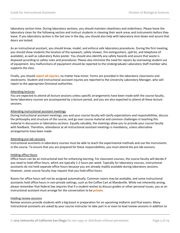laboratory section time. During laboratory sections, you should maintain cleanliness and orderliness. Please leave the laboratory clean for the following section and instruct students in cleaning their work areas and instruments before they leave. If you laboratory section is the last one in the day, you should also help with laboratory shut-down and assure that doors are locked.

As an instructional assistant, you should know, model, and enforce safe laboratory procedures. During the first meeting, you should show students the location of the eyewash, safety shower, fire extinguishers, spill kit, and telephone (if available), as well as Laboratory Rules poster. You should also identify any safety hazards and assure that waste is disposed according to safety rules and procedures. Please also minimize the need for repairs by overseeing student use of equipment. Any malfunctions of equipment should be reported to the Undergraduate Laboratory Staff member who supports the class.

Finally, you should **report all injuries**, no matter how minor. Forms are provided in the laboratory classrooms and stockrooms. Student and instructional assistant injuries are reported to the University Laboratory Manager, who will report to the appropriate Divisional authorities.

#### Attending lectures

You are expected to attend all lecture sessions unless specific arrangements have been made with the course faculty**.** Some laboratory courses are accompanied by a lecture period, and you are also expected to attend all these lecture sessions.

# Attending instructional assistant meetings

During instructional assistant meetings, you and your course faculty will clarify expectations and responsibilities, discuss the philosophy and structure of the course, and go over course material and common challenges in teaching this material in discussion or laboratory sections. Equally valuable, the meetings allow you to provide your course faculty with feedback. Therefore, attendance at all instructional assistant meetings is mandatory, unless alternative arrangements have been made.

#### Attending pre-lab sessions

Instructional assistants in laboratory courses must be able to teach the experimental methods and use the instruments in the course. To ensure that you are prepared for these responsibilities, you must attend the pre-lab sessions.

#### Holding office Hours

Office hours can be an instructional tool for enhancing learning. For classroom courses, the course faculty will decide if you need to hold office hours, which are typically 1-2 hours per week. Typically for laboratory courses, instructional assistants do not hold separate office hours because you are already readily available during laboratory sessions. However, some course faculty may request that you hold office hours.

Rooms for office hours will not be assigned automatically. Common rooms may be available, and some instructional assistants hold office hours in non-private settings, such as the Coffee Cart at Mandeville. While not inherently wrong, please remember that federal law requires that if a student wishes to discuss grades or other personal issues, you as an instructional assistant must arrange for the conversation to be **private**.

#### Holding review sessions

Review sessions provide students with a big boost in preparation for an upcoming midterm and final exams. Many instructional assistants are asked by your course instructor to take part in or even to lead review sessions in addition to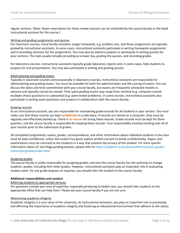regular sections. (Note: Room reservations for these review sessions can be scheduled by the course faculty or the head instructional assistant for the course.)

## Writing and grading assignments and quizzes

For classroom courses, many faculty members assign homework, e.g. problem sets, and these assignments are typically graded by instructional assistants. In some cases, instructional assistants participate in writing homework assignments and in providing solutions for the assignments. You may also be asked to prepare or participate in writing quizzes for your sections. This task usually includes providing an answer key, grading the quizzes, and recording grades.

For laboratory courses, instructional assistants typically grade laboratory reports and, in some cases, help students to prepare for oral presentations. You may also participate in writing and grading quizzes.

#### Administering and grading exams

Typically in classroom courses and occasionally in laboratory courses, instructional assistants are responsible for administering and grading exams. You must be available for both the administration and the scoring of exams. You can discuss the dates and time commitment with your course faculty, but exams are frequently scheduled months in advance and typically cannot be moved. Time spent grading exams may range from minimal (e.g. computer-scored, multiple-choice questions) to substantial (e.g. open-ended problems). In some courses, instructional assistants also participate in writing exam questions and answers in collaboration with the course faculty.

# Keeping records

As an instructional assistant, you are responsible for maintaining grade records for all students in your section. You must make sure that these records are kept **confidential** in a safe place. If records are stored on a computer, they must be regularly and effectively backed up. There is **no excuse** for losing these records. Grade records must be kept for three quarters, and the course faculty is responsible for keeping these records. Your responsibility involves handing over all of your records prior to the submission of grades.

All completed assignments, exams, grades, correspondence, and other information about individual students in the class must be kept confidential, unless the student has given explicit written consent to break confidentiality. Papers and examinations must be returned to the students in a way that protects the privacy of the student. For more specific information about UC San Diego grading policies, please refer to [https://students.ucsd.edu/academics/exams-grades](https://students.ucsd.edu/academics/exams-grades-transcripts/grades/index.html)[transcripts/grades/index.html.](https://students.ucsd.edu/academics/exams-grades-transcripts/grades/index.html)

#### Assigning grades

The course faculty is solely responsible for assigning grades, and only the course faculty has the authority to change students' grades, including their letter grades. However, instructional assistants play an important role in evaluating student work. For any grade disputes or inquiries, you should refer the student to the course faculty.

#### **Additional responsibilities and conduct**

#### Referring students to appropriate services

For questions outside your area of expertise, especially pertaining to health care, you should refer students to the appropriate office that can help them. Please ask your course faculty if you are not sure.

#### Maintaining academic integrity

Academic integrity is a core value of the university. As instructional assistants, you play an important role in promoting and affirming the importance of academic integrity and fostering an educational environment that adheres to the values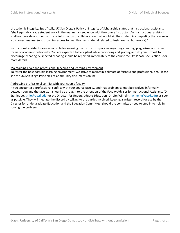of academic integrity. Specifically, UC San Diego's Policy of Integrity of Scholarship states that instructional assistants "shall equitably grade student work in the manner agreed upon with the course instructor. An [instructional assistant] shall not provide a student with any information or collaboration that would aid the student in completing the course in a dishonest manner (e.g. providing access to unauthorized material related to tests, exams, homework)."

Instructional assistants are responsible for knowing the instructor's policies regarding cheating, plagiarism, and other forms of academic dishonesty**.** You are expected to be vigilant while proctoring and grading and do your utmost to discourage cheating. Suspected cheating should be reported immediately to the course faculty. Please see Section 3 for more details.

#### Maintaining a fair and professional teaching and learning environment

To foster the best possible learning environment, we strive to maintain a climate of fairness and professionalism. Please see the UC San Diego Principles of Community documents online.

# Addressing professional conflict with your course faculty

If you encounter a professional conflict with your course faculty, and that problem cannot be resolved informally between you and the faculty, it should be brought to the attention of the Faculty Advisor for Instructional Assistants (Dr. Stanley Lo, [smlo@ucsd.edu\)](mailto:smlo@ucsd.edu) or the Director for Undergraduate Education (Dr. Jim Wilhelm, [jwilhelm@ucsd.edu\)](mailto:jwilhelm@ucsd.edu) as soon as possible. They will mediate the discord by talking to the parties involved, keeping a written record for use by the Director for Undergraduate Education and the Education Committee, should the committee need to step in to help in solving the problem.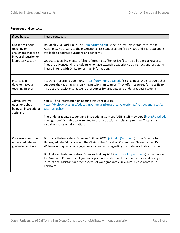# **Resources and contacts**

| If you have                                                                                            | Please contact                                                                                                                                                                                                                                                                                                                                                                                                                                                                                                                                                              |
|--------------------------------------------------------------------------------------------------------|-----------------------------------------------------------------------------------------------------------------------------------------------------------------------------------------------------------------------------------------------------------------------------------------------------------------------------------------------------------------------------------------------------------------------------------------------------------------------------------------------------------------------------------------------------------------------------|
| Questions about<br>teaching or<br>challenges that arise<br>in your discussion or<br>laboratory section | Dr. Stanley Lo (York Hall 4070B, smlo@ucsd.edu) is the Faculty Advisor for Instructional<br>Assistants. He organizes the instructional assistant program (BGGN 500 and BISP 195) and is<br>available to address questions and concerns.<br>Graduate teaching mentors (also referred to as "Senior TAs") can also be a great resource.<br>They are advanced Ph.D. students who have extensive experience as instructional assistants.<br>Please inquire with Dr. Lo for contact information.                                                                                 |
| Interests in<br>developing your<br>teaching further                                                    | Teaching + Learning Commons (https://commons.ucsd.edu/) is a campus-wide resource that<br>supports the teaching and learning missions on campus. They offer resources for specific to<br>instructional assistants, as well as resources for graduate and undergraduate students.                                                                                                                                                                                                                                                                                            |
| Administrative<br>questions about<br>being an instructional<br>assistant                               | You will find information on administrative resources:<br>https://biology.ucsd.edu/education/undergrad/resources/experience/instructional-asst/ta-<br>tutor-ugias.html<br>The Undergraduate Student and Instructional Services (USIS) staff members (biota@ucsd.edu)<br>manage administrative tasks related to the instructional assistant program. They are a<br>valuable source of information.                                                                                                                                                                           |
| Concerns about the<br>undergraduate and<br>graduate curricula                                          | Dr. Jim Wilhelm (Natural Sciences Building 6123, jwilhelm@ucsd.edu) is the Director for<br>Undergraduate Education and the Chair of the Education Committee. Please contact Dr.<br>Wilhelm with questions, suggestions, or concerns regarding the undergraduate curriculum.<br>Dr. Andrew Chisholm (Natural Sciences Building 6123, adchisholm@ucsd.edu) is the Chair of<br>the Graduate Committee. If you are a graduate student and have concerns about being an<br>instructional assistant or other aspects of your graduate curriculum, please contact Dr.<br>Chisholm. |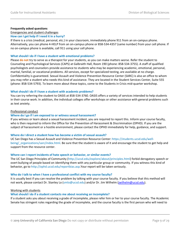#### **Frequently asked questions**

# Emergencies and student challenges

# **How can I get help if I need it in a hurry?**

If there is a crisis (medical, personal, etc.) in your classroom, immediately phone 911 from an on-campus phone. Alternatively, you can phone 4-HELP from an on-campus phone or 858-534-4357 (same number) from your cell phone. If no on-campus phone is available, call 911 using your cell phone.

#### **What should I do if I have a student with emotional problems?**

Please **do not** try to serve as a therapist for your students, as you can make matters worse. Refer the student to Counseling and Psychological Services (CAPS) at Galbraith Hall, Room 190 (phone: 858-534-3755). A staff of qualified psychologists and counselors provide assistance to students who may be experiencing academic, emotional, personal, marital, familial, or vocational problems. All services, except for specialized testing, are available at no charge. Confidentiality is guaranteed. Sexual Assault and Violence Prevention Resource Center (SARC) is also an office to whom you may refer a student who needs this kind of assistance. They are located in the Student Services Center, Suite 555 (phone: 858-534-5793). To learn more about these topics, come to the Students in Crisis mid-quarter workshop.

#### **What should I do if I have a student with academic problems?**

You can try referring the student to OASIS at 858-534-3760. OASIS offers a variety of services intended to help students in their course work. In addition, the individual colleges offer workshops or other assistance with general problems such as text anxiety.

#### Professional conduct

#### **Where do I go if I am exposed to or witness sexual harassment?**

If you witness or learn about a sexual harassment incident, you are required to report this. Inform your course faculty, who is then required to inform the Office for the Prevention of Harassment & Discrimination (OPHD). If you are the subject of harassment or a hostile environment, please contact the OPHD immediately for help, guidance, and support.

#### **Where do I direct a student how has become a victim of sexual assault?**

UC San Diego has a Sexual Assault and Violence Prevention Resource Center: [https://students.ucsd.edu/well](https://students.ucsd.edu/well-being/_organizations/sarc/index.html)being/organizations/sarc/index.html. Be sure that the student is aware of it and encourage the student to get help and support from the resource center.

#### **Where can I report incidents of hate speech or behavior, or similar events?**

The UC San Diego Principles of Community [\(http://ucsd.edu/explore/about/principles.html\)](http://ucsd.edu/explore/about/principles.html) forbid derogatory speech or overt bullying of people based on identifying them with any particular group or community. If you witness this kind of behavior, go to [http://ophd.ucsd.edu/reportbias.asp.](http://ophd.ucsd.edu/reportbias.asp)Your report will be taken seriously.

#### **Who do I talk to when I have a professional conflict with my course faculty?**

It is usually best if you can resolve the problem by talking with your course faculty. If you believe that this method will not work, please contact Dr. Stanley Lo [\(smlo@ucsd.edu\)](mailto:smlo@ucsd.edu) and/or Dr. Jim Wilhelm [\(jwilhelm@ucsd.edu\)](mailto:jwilhelm@ucsd.edu).

#### Working with students

# **What should I do if a student contacts me about receiving an incomplete?**

If a student asks you about receiving a grade of incomplete, please refer him or her to your course faculty. The Academic Senate has stringent rules regarding the grade of incomplete, and the course faculty is the first person who will need to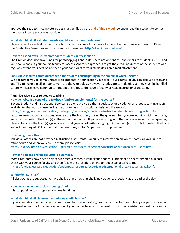approve the request. Incomplete grades must be filed by the **end of finals week**, so encourage the student to contact the course faculty as soon as possible.

#### **What should I do if a student needs special exam accommodations?**

Please refer the student to the course faculty, who will need to arrange for permitted assistance with exams. Refer to the Disabilities Resources website for more information: [http://disabilities.ucsd.edu/.](http://disabilities.ucsd.edu/)

#### **How can I send extra study material to students in my section?**

The Division does not have funds for photocopying hand-outs. There are options to send emails to students in TED, and you should consult your course faculty for access. Another approach is to get the e-mail addresses of the students who regularly attend your section and send your hand-outs to your students as an e-mail attachment.

#### **Can I use e-mail to communicate with the students participating in the course in which I serve?**

We encourage you to communicate with students in your section via e-mail. Your course faculty can also use TritonLink and TED to make e-mail announcements to the whole class. However, grades are confidential, so they must be handled carefully. Please leave communications about grades to the course faculty or head instructional assistant.

#### Administrative issues related to teaching

#### **How do I obtain a copy of the textbook (and/or supplements) for the course?**

Biology Student and Instructional Services is able to provide either a desk copy or a code for an e-book, contingent on availability, that you can use during the quarter as an instructional assistant. Please visit

<https://biology.ucsd.edu/education/undergrad/resources/experience/instructional-asst/ta-tutor-ugias.html> for

textbook reservation instructions. You can use the book only during the quarter when you are working with the course, and you must return the book(s) at the end of the quarter. If you are working with the same course in the next quarter, please check out the book(s) again. We ask that you do not write or highlight in the book(s). If you fail to return the book you will be charged 50% of the cost of a new book, up to \$50 per book or supplement.

#### **How do I get an office?**

Individual offices are not provided instructional assistants. For current information on which rooms are available for office hours and when you can use them, please visit: <https://biology.ucsd.edu/education/undergrad/resources/experience/instructional-asst/ta-tutor-ugias.html>

#### **How can I arrange for audio visual equipment?**

Most classrooms now have a self-service media center. If your section room is lacking basic necessary media, please check with your course faculty and then follow the procedure online to request an alternate room [\(https://biology.ucsd.edu/education/undergrad/resources/experience/instructional-asst/ta-tutor-ugias.html\)](https://biology.ucsd.edu/education/undergrad/resources/experience/instructional-asst/ta-tutor-ugias.html).

#### **Where do I get chalk?**

All classrooms are supposed to have chalk. Sometimes that chalk may be gone, especially at the end of the day.

#### **How do I change my section meeting time?**

It is not possible to change section meeting times.

#### **What should I do if classroom scheduling conflicts arise?**

If you schedule a room outside of your normal lecture/laboratory/discussion time, be sure to bring a copy of your email confirmation as proof of your reservation. If your course faculty or the head instructional assistant requests a room for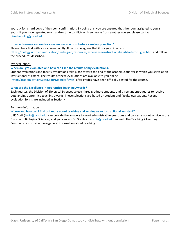you, ask for a hard-copy of the room confirmation. By doing this, you are ensured that the room assigned to you is yours. If you have repeated room and/or time conflicts with someone from another course, please contact [bioscheduling@ucsd.edu.](mailto:534-2574.bioscheduling@ucsd.edu)

#### **How do I reserve a room for a review session or schedule a make-up section?**

Please check first with your course faculty. If he or she agrees that it is a good idea, visit <https://biology.ucsd.edu/education/undergrad/resources/experience/instructional-asst/ta-tutor-ugias.html> and follow the procedures described.

#### My evaluations

#### **When do I get evaluated and how can I see the results of my evaluations?**

Student evaluations and faculty evaluations take place toward the end of the academic quarter in which you serve as an instructional assistant. The results of these evaluations are available to you online [\(http://academicaffairs.ucsd.edu/Modules/Evals\)](http://academicaffairs.ucsd.edu/Modules/Evals) after grades have been officially posted for the course.

#### **What are the Excellence in Apprentice Teaching Awards?**

Each quarter, the Division of Biological Sciences selects three graduate students and three undergraduates to receive outstanding apprentice teaching awards. These selections are based on student and faculty evaluations. Recent evaluation forms are included in Section 4.

#### For more information

#### **Where and how can I find out more about teaching and serving as an instructional assistant?**

USIS Staff [\(biota@ucsd.edu\)](mailto:biota@ucsd.edu) can provide the answers to most administrative questions and concerns about service in the Division of Biological Sciences, and you can ask Dr. Stanley Lo [\(smlo@ucsd.edu\)](mailto:smlo@ucsd.edu) as well. The Teaching + Learning Commons can provide more general information about teaching.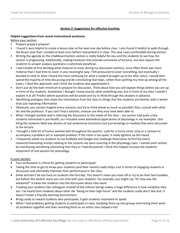# **Section 2: Suggestions for effective teaching**

#### **Helpful suggestions from recent instructional assistants**

Before your section:

- Prepare prepare prepare!
- I found it very helpful to create a lesson plan at the least one day before class. I also found it helpful to walk-through the lesson plan that I created at least once before I presented it in class. This way I was comfortable during section.
- Writing the agenda on the chalkboard before section is really helpful for you and the students to see how the section is progressing. Additionally, making handouts that provide summaries of lectures, but also require the students to answer analysis questions is extremely beneficial.
- I had trouble at first deciding what material to cover during my discussion sections, since often there was more material than I had time to cover in any meaningful way. I felt pressured to cover everything, but eventually I decided to stick to what I found the most confusing (or what a student brought up to me after class). I would then spend the majority of time discussing and de-convoluting that topic, rather than splitting my time up among all the topics. I liked this approach, and I think the students also appreciated it.
- Don't just do the bare minimum to prepare for discussion. Think about how you will explain things before you are up in front of the students. Sometimes I thought I knew exactly what something was, but in front of my class I couldn't explain it at all! Predict where questions will be asked and try to think through the answers in advance.
- Identifying analogies that relate the information from the class to things that the students are familiar with is better than just repeating information.
- Obviously, you cannot imagine every scenario, but try to think ahead as much as possible! Also, consult with other IAs and the professor. If you can't find a solution, chances are they may have been able to.
- What I thought worked well is tailoring the discussion to the needs of the class my section had quite a few students interested in pre-health, so I included some biomedical applications of physiology in my examples. One thing the students liked was photos of real anatomical structures (not just drawings or models) that were discussed in the lecture.
- I thought a little bit of humor worked well throughout the quarter. Look for a funny comic strip or a cartoon to accompany a problem set or example problem. If the room is too quiet, it really lightens up the mood.
- I frequently asked my students to use PubMed and Google and challenge themselves to find the latest research/interesting articles relating to the systems we were covering in the physiology class. I started each section by mentioning something interesting that they or I had discovered. I think this helped increase the students' enjoyment of and passion for physiology.

#### In your section:

- Your enthusiasm is critical for getting students to participate!
- Taking the time to get to know your students (and their names) really helps a lot in terms of engaging students in discussion and ultimately improves their performance in the class.
- Smile and don't be too hard on students the first day. This doesn't mean you slack off or try to be their best buddies, but before the section starts you can chat with your students. For example, you might say "Hi, how was the weekend?" It eases the students into the discussion about class work.
- Treating your students like colleagues instead of like inferior beings makes a huge difference in how receptive they are. I've heard from students about other IAs "being on their high horse" and the students really don't like that. It doesn't foster a friendly learning environment.
- Bring candy to reward students who participate; it gets students motivated to speak.
- When I had problems getting students to participate in class, breaking them up into groups and having them work on problems together and then reuniting them as an entire class helped a lot!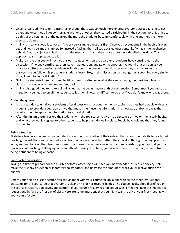- Once I organized my students into smaller group, there was so much more energy. Everyone started talking to each other, and once they all got comfortable with one another, they started participating in the section more. It's nice to do this at the beginning of the quarter. The more the students became comfortable with one another, the more they participated.
- I think it's really a good idea for an IA to ask very simple questions first. Once you get students in the habit of saying yes and no, it gets much simpler. So, instead of asking them all too detailed questions, like "what is the mechanism behind…" you can just ask "is this part of the mechanism" and then move on to more detailed questions. This approach warms up students a lot!
- Make it a rule that you will not give answers to questions on the board until students have contributed to the discussion. If no one contributes, then leave that question, and go on to another. I've found that as soon as you move to a different question, students will talk about the previous question because they want to know the answers! If you follow this procedure, students learn "Hey, in this discussion I am not getting spoon fed every single thing. I need to be participating."
- Giving the students index cards and inviting them to write down what they were having the most trouble with in class was a good way to get student feedback.
- I think it is a good idea to make a sign-in sheet at the beginning (or end) of each section. Sometimes if you mess up in section, you need to email the students to let them know. It's difficult to do that if you don't know who was there.

#### During the quarter

- It's a great idea to email your students after discussion to just outline the key topics that they had trouble with as a group and to provide a question or two that makes them use the information in a new way and/or in a way that requires them to apply the information to a novel situation.
- After the first midterm, I asked the students with the top scores to give me a sentence or two on their study habits, and what they would suggest to other students to help them do well in class. People have told me that they found this helpful.

#### **Being a teacher**

First-time teachers may feel more confident about their knowledge of their subject than about their ability to teach, but teaching is a skill that can be learned. Good teachers are not born, but rather, they develop through training, practice, work, and feedback on their teaching strengths and weaknesses. As a new instructional assistant, you may find your first few weeks of teaching challenging, or even difficult. During this phase, you have to make the major adjustment from being a student to being a teacher.

#### Pre-quarter preparation

Taking the time to prepare for the quarter before classes begin will save you many headaches, reduce anxiety, help make the first day of section or laboratory go smoothly, and decrease the amount of work you will have during the quarter.

Before your first discussion section you should meet with your course faculty along with all the other instructional assistants for the course, so that everyone is clear on his or her responsibilities. The course faculty should brief you on the course structure, objectives, and content. If your course faculty has not set up such a meeting, take the initiative to request one **before** the first day of class. Here are some questions that you might want to ask at your first meeting with your course faculty.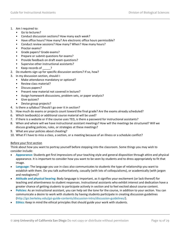- 1. Am I required to:
	- Go to lectures?
	- Conduct discussion sections? How many each week?
	- Have office hours? How many? Are electronic office hours permissible?
	- Conduct review sessions? How many? When? How many hours?
	- Proctor exams?
	- Grade papers? Grade exams?
	- Prepare or submit questions for exams?
	- Provide feedback on draft exam questions?
	- Supervise other instructional assistants?
	- Keep records of ?
- 2. Do students sign up for specific discussion sections? If so, how?
- 3. In my discussion section, should I:
	- Make attendance mandatory or optional?
	- Review class material?
	- Discuss papers?
	- Present new material not covered in lecture?
	- Assign homework discussions, problem sets, or paper analysis?
	- Give quizzes?
	- Devise group projects?
- 4. Is there a syllabus? Should I go over it in section?
- 5. How much do exams or projects count toward the final grade? Are the exams already scheduled?
- 6. Which textbook(s) or additional course material will be used?
- 7. If there is a website or if the course uses TED, is there a password for instructional assistants?
- 8. When and where will we have instructional assistant meetings? How will the meetings be structured? Will we discuss grading policies, rules, or strategies at these meetings?
- 9. What are your policies about cheating?
- 10. What if I have to miss a class, a section, or a meeting because of an illness or a schedule conflict?

# Before your first section

Think about how you want to portray yourself before stepping into the classroom. Some things you may wish to consider include:

- **Appearance:** Students get first impressions of your teaching style and general disposition through attire and physical appearance. It is important to consider how you want to be seen by students and to dress appropriately to fit that image.
- **Language:** The language you use in class also communicates to students the type of relationship you want to establish with them. Do you talk authoritatively, casually (with lots of colloquialisms), or academically (with jargon and neologisms)?
- **Attitude and physical bearing:** Body language is important, as it signifies your excitement (or lack thereof) for teaching and attentiveness to student responses. Instructional assistants who exhibit interest and dedication have a greater chance of getting students to participate actively in section and to feel excited about course content.
- **Policies:** As an instructional assistant, you can help set the tone for the course, in addition to your section. You can communicate a desire to work with students by having students participate in creating discussion guidelines [\(http://gsi.berkeley.edu/gsi-guide-contents/discussion-intro/discussion-guidelines/\)](http://gsi.berkeley.edu/gsi-guide-contents/discussion-intro/discussion-guidelines/).
- **Ethics:** Keep in mind the ethical principles that should guide your work with students.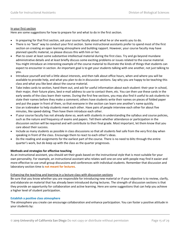#### In your first section

Here are some suggestions for how to prepare for and what to do in the first section.

- In preparing for that first section, ask your course faculty about what he or she wants you to do.
- There is no "best" way to conduct your first section. Some instructional assistants prefer to spend most of the first section on creating an open learning atmosphere and building rapport. However, your course faculty may have planned specific material, so please discuss this with him or her.
- Plan to cover at least some substantive intellectual material during the first class. Try and go beyond mundane administrative details and at least briefly discuss some exciting problems or issues related to the course material. You might introduce an interesting example of the course material to illustrate the kinds of things that students can expect to encounter in section. An important goal is to get your students talking with one another, not just talking to you.
- Introduce yourself and tell a little about interests, and then talk about office hours, when and where you will be available to provide help, and what you plan to do in discussion sections. Say why you are happy to be teaching this class and what you like best about the course material.
- Take index cards to section, hand them out, and ask for useful information about each student: their year in school, their major, their future plans, best e-mail address to use to contact them, etc. You can then use these cards in the early weeks of the class learn their names. During the first few sections, you may also find it useful to ask students to state their names before they make a comment; others have students write their names on pieces of folded paper and put the paper in front of them, so that everyone in the section can learn one another's name quickly.
- Use an icebreaker to help students meet each other. Have pairs of people interview each other for about five minutes, like speed-dating. Then have them introduce each other.
- If your course faculty has not already done so, work with students in understanding the syllabus and course policies, such as the nature and frequency of exams and papers. Tell them whether attendance or participation in the discussion section will be required and will contribute to their final grade. Most important, let them know that you care about their success.
- Include as many students as possible in class discussions so that all students feel safe from the very first day when speaking in front of the class. Encourage them to react to each other's ideas.
- Do the reading and assignments for the earliest part of the course. There is no need to blitz through the entire quarter's work, but do keep up with the class as the quarter progresses.

#### **Methods and strategies for effective teaching**

As an instructional assistant, you should set their goals based on the instructional style that is most suitable for your own personality. For example, an instructional assistant who relates well one-on-one with people may find it easier and more effective to use small group discussions and conferences with individual students. Remember that discussion and laboratory section time is **not meant for lectures**.

#### Enhancing the teaching and learning in a lecture class with discussion sections

Be sure that you know whether you are responsible for introducing new material or if your objective is to review, clarify, and elaborate on material that has already been introduced during lectures. The strength of discussion sections is that they provide an opportunity for collaboration and active learning. Here are some suggestions that can help you achieve a higher level of student participation.

#### **Establish a positive class atmosphere**

The atmosphere you create can encourage collaboration and enhance participation. You can foster a positive attitude in your students by: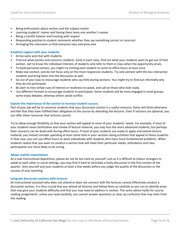- Being enthusiastic about section and the subject matter
- Learning students' names and having them learn one another's names
- Being a careful listener and treating with respect
- Responding positive to student comments whether they say something correct or incorrect
- Arranging the classroom so that everyone sees everyone else

# **Establish rapport with your students**

- Arrive early and chat with students.
- Find out what excites and concerns students. Early in each class, find out what your students want to get out of that section. Get to know the individual interests of students and refer to them in class when the opportunity arises.
- To build personal contact, you might try inviting each student to come to office hours at least once.
- Make eye contact, and do not focus only on the most responsive students. Try and connect with the less interactive students and bring them into the discussion as well.
- Go out of your way to encourage students who say little during sections. You might try to find out informally why they do not participate.
- Be alert to non-verbal cues of interest or readiness to speak, and call on those who look ready.
- Use different formats to encourage students to participate. Some students will be most engaged in small groups; some enjoy debates, whereas others avoid conflict.

# **Explain the importance of the section to increase student success**

Part of your job will be to convince students that your discussion section is a useful resource. Some will think otherwise and feel that they have fulfilled their obligation to the course by attending the lectures. Even if sections are optional, you can offer them resources that lectures cannot.

Try to allow enough flexibility so that your section will appeal to most of your students' needs. For example, if most of your students need clarification and review of lecture material, you may lose the more advanced students, but perhaps their concerns can be dealt with during office hours. If most of your students are ready to apply and extend lecture material, you should consider spending at least some time in your sections doing activities that appeal to these students. In that case, you can use office hours to work individually with students who have more fundamental problems. When students realize that you want to conduct a section that will meet their particular needs, attendance and class participation are more likely to be strong.

#### **Adopt realistic expectations**

As a new Instructional Apprentice, please do not be too hard on yourself. Just as it is difficult to induce strangers to speak to each other in social settings, you may find it hard to stimulate a lively discussion in the first section of the quarter. Give yourself and your students at least a few weeks before you judge the quality of the discussion or the success of your teaching.

#### **Integrate discussion sections with lectures**

An instructional assistant who does not attend or does not connect with the lectures cannot effectively conduct a discussion section. It is thus crucial that you attend all lectures and follow them as carefully as you can to identify areas that may give your students difficulty and that you may need to address in section. The same advice holds for course reading assignments: unless you read carefully, you cannot answer questions or clear up confusion that may stem from the reading.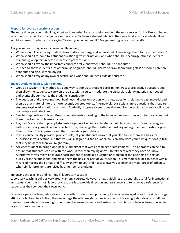# **Prepare for every discussion section**

The more time you spend thinking about and preparing for a discussion section, the more successful it is likely to be. A safe rule is to remember that you are or have recently been a student who is in the same boat as your students. How would you react to what you are saying? Would you understand it? Are you making sense to yourself?

Ask yourself (and maybe your course faculty as well):

- When should I be showing students how to do something, and when should I encourage them to try it themselves?
- When should I respond to a student question (give information), and when should I encourage other students to respond (give opportunity for students to practice skills)?
- When should I review the important concepts orally, and when I should use handouts?
- If I need to show students a lot of formulas or graphs, should I derive or draw them during class or should I prepare handouts and discuss them myself?
- When should I rely on my own expertise, and when should I seek outside sources?

#### **Engage students in discussion sections**

- Group discussion: This method is a good way to stimulate student participation. Pose a provocative question, and then allow the students to carry on the discussion. You can moderate the discussion, clarify materials as needed, and eventually summarize the students' contribution.
- The question-and-answer method**:** Begin each discussion section with a few questions relating to past material and then tie that material into the more recently covered topics. Alternatively, start with simple questions that require students to give informational answers. Gradually progress to questions that require the explanation and application of concepts and principles.
- Small-group problem solving: Group a few students according to the types of problems they wish to solve or and ask them to solve the problems as a team.
- Play devil's advocate to prompt students to get involved in or animated about class discussion. Even if you agree with students' arguments about a certain topic, challenge them with the most cogent argument or question against their position. This approach can often stimulate a good debate.
- If your course faculty provides problem sets, let your students know that you plan to use them as a basis for discussion in your section, but that you will just give out the answers. You can also write your own questions (a task that may be harder than you might think).
- Ask each student to bring a one-page summary of that week's readings or assignments. This approach can help to ensure that students keep up with the work, rather than relying on you to tell them what they need to know. Alternatively, you might encourage each student to hand in a question or problem at the beginning of section, quickly scan the questions, and make them the basis for part of your section. This method provides students with a means of making their areas of difficulty known to you, and it also allows you to diagnose major areas of difficulty when similar problems are raised by a number of students.

#### Enhancing the teaching and learning in laboratory sections

Laboratory teaching policies vary greatly among courses. However, a few guidelines are generally useful for instructional assistants. Your role in most laboratory sections is to provide direction and assistance and to serve as a reference for students as they conduct their own work.

On a more personal level, laboratory courses offer students an opportunity to become engaged in and to gain a stronger affinity for biology. In addition, they encourage the often-neglected social aspects of learning. Laboratory work allows time for more interaction among students and between students and instructors than is possible in lectures or even in large discussion sections.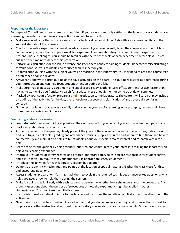# **Preparing for the laboratory**

Be prepared. You will feel more relaxed and confident if you are not frantically setting up the laboratory as students are streaming through the door. Several key actions can help to assure this:

- Make sure in advance that you are aware of your technical responsibilities. Talk with your course faculty and the support staff about these issues.
- Conduct the entire experiment yourself in advance even if you have recently taken the course as a student. Many course faculty require that you perform all lab experiments in pre-laboratory sessions. Different experiments present unique challenges. You should be familiar with the tricky aspects of each experiment before class. Do not cut short the time necessary for this preparation.
- Perform all calculations for the lab in advance and keep them handy for aiding students. Repeatedly miscalculating a formula confuses your students and reduces their respect for you.
- Re-familiarize yourself with the subject you will be teaching in the laboratory. You may need to read the course text or reference books to review!
- Arrive early and write a brief outline of the day's activities on the board. This outline will serve as a reference during your introduction and can help focus student attention during the lab.
- Make sure that all necessary equipment and supplies are ready. Nothing turns off student enthusiasm faster than having to wait while you frantically search for a critical piece of equipment or try to track down supplies.
- If asked by your course faculty, prepare a **brief** introduction to the laboratory. The content will vary but may include an outline of the activities for the day, the rationale or purpose, and clarification of any potentially confusing concepts.
- Grade tests or laboratory reports carefully and as soon as you can. By returning work promptly, students will have more time for review and improve.

#### **Conducting a laboratory session**

- Learn students' names as quickly as possible. They will respond to you better if you acknowledge them personally.
- Start every laboratory session on time.
- At the first session of the quarter, clearly present the goals of the course, a preview of the activities, dates of exams and field trips (if applicable), grading and attendance policies, supplies required and where to find them, and how to contact you (via e-mail). It also helps to tell students about your special area of interest and research within the field.
- Set the tone for the quarter by being friendly, but firm, and communicate your interest in making the laboratory an enjoyable learning experience.
- Inform your students of safety hazards and enforce laboratory safety rules. You are responsible for student safety, and it is up to you to require that your students use appropriate safety equipment.
- Introduce the activities for each laboratory session but be brief.
- Demonstrate any tricky techniques and point out the location of special materials. Gather the class close for this, and encourage questions.
- Assess students' preparation. You might ask them to explain the required techniques or answer key questions, which helps you gauge how to help them during the session.
- Make it a point to talk directly with each student to determine whether he or she understands the procedure. Ask thought-questions about the purpose of procedures or how the experiment might be applied in other circumstances. You must take the initiative here.
- If you wish to make a salient point or to clarify a procedure during the middle of lab, first attract the attention of the entire class.
- Never fake the answer to a question. Instead, admit that you do not know something, and promise that you will look it up or ask another instructional assistant, the laboratory course staff, or your course faculty. Students will respect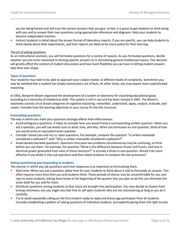you for being honest and will trust the correct answers that you give. In fact, it is great to get students to think along with you and to answer their own questions using appropriate references and diagrams. Help your students to become independent learners.

• Instruct students in detail about the proper format of laboratory reports. If you are specific, you can help students to think clearly about their experiments, and their reports are likely to be more useful for their learning.

## The art of asking questions

As an instructional assistant, you will formulate questions for a variety of reasons. As you formulate questions, decide whether you are more interested in eliciting specific answers or in stimulating general intellectual inquiry. This decision will greatly affect the content of student discussions and how much flexibility you can have in letting student answers take their own shape.

# **Types of questions**

Your students may need to be able to approach your subject matter at different levels of complexity. Sometimes you may be satisfied that a student has simply memorized a set of facts. At other times, you may expect more sophisticated reasoning.

In 1956, Benjamin Bloom organized the development of a system or taxonomy for classifying educational goals according to a hierarchy of intellectual skills. This system is still in use and has been revised in 2001. The Bloom's taxonomy consists of six broad categories of cognitive reasoning: remember, understand, apply, analyze, evaluate, and create. Consider how the learning objectives in your course fit into this structure.

# **Formulating questions**

The way in which you state your questions strongly affects their effectiveness.

- Avoid ambiguous questions. It helps to consider how you would frame a corresponding written question. When you ask a question, you will use words such as what, how, and why. When you formulate an oral question, think of how you would write an equivalent exam question.
- Consider closed (yes and no) vs. open questions. For example, compare the question "Is carbon monoxide considered a pollutant?" with "Why is carbon monoxide considered a pollutant?"
- Avoid double-barreled questions. Questions that pose two problems simultaneously may be confusing, so think before you use them. For example, the question "What is the difference between fission and fusion, and how is electrical power generated from each of these reactions?" is actually a three-in-one question. Would it be more effective if you broke it into sub-questions and then asked students to compare the two processes?

#### **Asking questioning and responding to students**

The manner in which you ask questions and treat responses is as important as formulating them.

- Wait-time: When you ask a question, allow time for your students to think about it and to formulate an answer. This often requires more time then you and students think. These periods of silence may be uncomfortable for you and new to some students; letting them know at the beginning of the quarter that you plan to do this can eliminate the strain both for you and for them.
- Distribute questions among students so that many are brought into participation. You may decide to choose from among volunteers, but you might also feel free to call upon students who are not volunteering as long as you do it carefully.
- Try to avoid repeatedly calling on the first student ready to reply and encourage participate from all students. Consider establishing a pattern of asking questions of individual students, but explicitly giving them the right to pass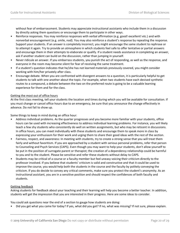without fear of embarrassment. Students may appreciate instructional assistants who include them in a discussion by directly asking them questions or encourage them to participate in other ways.

- Reinforce responses. You may reinforce responses with verbal affirmation (e.g. good! excellent! etc.) and with nonverbal encouragement (e.g. smile, nod). You may also reinforce a student's response by repeating the response. Support your students. If an answer is completely incorrect, you might encourage the same student to rephrase or to attempt it again. Try to provide an atmosphere in which students feel safe to offer tentative or partial answers and encourage them in their attempts to elaborate or qualify. If a student needs assistance in completing an answer, ask if another student can build on the discussion, rather than jumping in yourself.
- Never ridicule an answer. If you embarrass students, you punish the act of responding, as well as the response, and everyone in the room may become silent for fear of receiving the same treatment.
- If a student's question indicates that he/she has not learned materials previously covered, you might consider working with him/her privately after class.
- Encourage debate. When you are confronted with divergent answers to a question, it is particularly helpful to get students to talk with one another about the topic. For example, when two students have each devised synthetic routes to a compound, a debate between the two on the preferred route is going to be a valuable learning experience for them and for the class.

# Getting the most out of office hours

At the first class meeting, tell your students the location and times during which you will be available for consultation. If you must change or cancel office hours due to an emergency, be sure that you announce the change effectively in advance. Do not fail to show up.

Some things to keep in mind during an office hour:

- Address individual problems*.* As the quarter progresses and you become more familiar with your students, office hours can be used with increasing effectiveness to address individual learning problems. For instance, you will likely teach a few shy students who consistently do well on written assignments, but who may be reticent in discussions. In office hours, you can meet individually with these students and encourage them to speak more in class by expressing your enthusiasm for their work and urging them to share their good ideas with the rest of the section.
- Fairness, respect, and awareness: In meeting with students, try to create a strong sense that you will treat them fairly and without favoritism. If you are approached by a student with serious personal problems, refer that person to Counseling and Psych Services (CAPS). Even though you may want to help your students, don't allow yourself to be put in the position of surrogate parent or therapist; the creation of a dependency relationship could be harmful to you and to the student. Please be sensitive and refer these students without delay to CAPS.
- Students may be critical of a course or a faculty member but feel uneasy voicing their criticism directly to the professor involved. If you believe that students' criticism is valid and constructive and that it could be used to improve the course, you would help both the students in the course and the faculty by politely conveying the criticism. If you do decide to convey any critical comments, make sure you protect the student's anonymity. As an instructional assistant, you are in a sensitive position and should respect the confidences of both faculty and students.

#### Getting feedback

Asking students for feedback about your teaching and their learning will help you become a better teacher. In addition, students will get the impression that you are interested in their progress. Here are some ideas to consider.

You could ask questions near the end of a section to gauge how students are doing:

• Did you get what you came for today? If yes, what did you get? If no, what was missing? If not sure, please explain.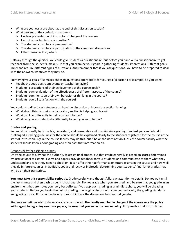- What are you least sure about at the end of this discussion section?
- What percent of the confusion was due to:
	- o Unclear presentation of instructor in charge of the course?
	- o Lack of opportunity to ask question?
	- o The student's own lack of preparation?
	- o The student's own lack of participation in the classroom discussion?
	- o Other reasons? If so, what?

Halfway through the quarter, you could give students a questionnaire, but before you hand out a questionnaire to get feedback from the students, make sure that you examine your goals in gathering students' impressions. Different goals imply and require different types of questions. And remember that if you ask questions, you have to be prepared to deal with the answers, whatever they may be.

Identifying your goals first makes choosing questions appropriate for your goal(s) easier. For example, do you want:

- Feedback about classroom events or teacher behavior?
- Students' perceptions of their achievement of the course goals?
- Students' own evaluation of the effectiveness of different aspects of the course?
- Students' comments on their own behavior or thinking in the course?
- Students' overall satisfaction with the course?

You could also directly ask students on how the discussion or laboratory section is going:

- What about this discussion or laboratory section is helping you learn?
- What can I do differently to help you learn better?
- What can you as students do differently to help you learn better?

#### **Grades and grading**

You must constantly try to be fair, consistent, and reasonable and to maintain a grading standard you can defend if challenged. Grading guidelines for the course should be explained clearly to the students registered for the course at the start of instruction. Again, the course faculty may do this, but if he or she does not do it, ask the course faculty what the students should know about grading and then pass that information on.

#### Responsibility for assigning grades

Only the course faculty has the authority to assign final grades, but that grade generally is based on scores determined by instructional assistants. Exams and papers provide feedback to your students and communicate to them what they understand and what they need to check on. It can affect their performance on future exams in the course and how well they do in future courses. In addition, you are, directly or indirectly, determining your students' final letter grades that will be on their transcripts.

**You must take this responsibility seriously.** Grade carefully and thoughtfully; pay attention to details. Do not wait until the last minute and then dash through it haphazardly. Do not grade when you are tired, and be sure that you grade in an environment that promotes your very best efforts. If you approach grading as a mindless chore, you will be cheating your students. Before you begin the task of grading, thoroughly discuss with your course faculty the grading standards and grading rubric. If the course faculty does not initiate the discussion, be sure that you do.

Students sometimes wish to have a grade reconsidered. **The faculty member in charge of the course sets the policy with regard to regrading exams or papers; be sure that you know the course policy.** It is possible that instructional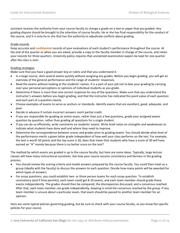assistant receives the authority from your course faculty to change a grade on a test or paper that you graded. Any grading dispute should be brought to the attention of course faculty. He or she has final responsibility for the conduct of the course, and it is only he or she that has the authority to adjudicate conflicts about grading.

#### Grade records

Keep accurate and **confidential** records of your evaluations of each student's performance throughout the course. At the end of the quarter or when you are asked, provide a copy to the faculty member in charge of the course, and retain your records for three quarters. University policy requires that unclaimed examination papers be kept for one quarter after the class is over.

#### Grading strategies

Make sure that you have a good answer key or rubric and that you understand it.

- In a large course, skim several exams quickly without assigning any grades. Before you begin grading, you will get an overview of the general performance and the range of students' responses.
- Read the exams without looking at the students' names. It is a part of your job not to bias your grading by carrying over your personal perceptions or opinions of individual students as you grade.
- Determine if there is more than one correct response for any of the questions. Make sure that you understand the instructor's answers before you begin grading, and that the instructor has indicated the point value of each question and each part of a question clearly.
- Choose examples of exams to serve as anchors or standards. Identify exams that are excellent, good, adequate, and poor.
- Decide in advance if certain incorrect answers merit partial credit.
- If you are responsible for grading an entire exam, rather than just a few questions, grade your assigned exams question by question, rather than grading all questions for a single student.
- If you can do so efficiently, write comments on students' exams. Write brief notes on strengths and weaknesses to indicate what students have done well and where they need to improve.
- Determine the correspondence between scores and grades prior to grading exams. You should decide what level of the performance merits a given letter grade independent of how well your class performs on the test. For example, the test is worth 50 points and the top score is 30, does that mean that students who have a score of 30 will have earned an "A" merely because there is no better score on the test?

The method by which exams are graded is up to the course faculty, but here are some ideas. Typically, large lecture classes will have many instructional assistants. Ask how your course assures consistency and fairness in the grading process.

- You should review the scoring criteria and model answers prepared by the course faculty. You could then meet as a group (ideally with the faculty) to discuss the answers to each question. Decide how many points will be awarded for which types of answers.
- For essay questions, you could establish two- or three person teams for each essay question. To establish consistency (and if time permits), each team could get 8-10 exams, and each team member should grade these exams independently. The grades should then be compared, the discrepancies discussed, and a consensus reached. After that, each team member can grade independently, keeping in mind the consensus reached by the group. If any team member is unsure about a particular exam, that exam should be passed to another team member for an opinion.

Here are some typical policies governing grading, but be sure to check with your course faculty, so you know the specific policies for your course.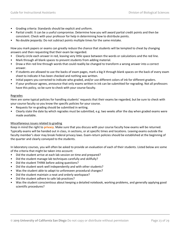- Grading criteria: Standards should be explicit and uniform.
- Partial credit: It can be a useful compromise. Determine how you will award partial credit points and then be consistent. Check with your professor for help in determining how to distribute points.
- No double jeopardy: Do not subtract points multiple times for the same mistake.

How you mark papers or exams can greatly reduce the chance that students will be tempted to cheat by changing answers and then requesting that their exam be regarded.

- Clearly circle each answer in red, leaving very little space between the words or calculations and the red line.
- Mark through all blank spaces to prevent students from adding material.
- Draw a thin red line through words that could readily be changed to transform a wrong answer into a correct answer.
- If students are allowed to use the backs of exam pages, mark a big X through blank spaces on the back of every exam sheet to indicate it has been checked and nothing was written.
- Initial papers you corrected to indicate who graded, and/or use different colors of ink for different graders.
- If your professor agrees, announce that only exams written in ink can be submitted for regrading. Not all professors have this policy, so be sure to check with your course faculty.

#### Regrades

Here are some typical policies for handling students' requests that their exams be regarded, but be sure to check with your course faculty so you know the specific policies for your course.

- Requests for re-grading should be submitted in writing.
- Clearly state the date by which regrades must be submitted, e.g. two weeks after the day when graded exams were made available.

#### Miscellaneous issues related to grading

Keep in mind the right to **privacy**. Make sure that you discuss with your course faculty how exams will be returned. Typically exams will be handed out in class, in sections, or at specific times and locations. Leaving exams outside the faculty member's door may break Federal privacy laws. Exam-return policies should be established at the beginning of the quarter and clearly conveyed to the students.

In laboratory courses, you will often be asked to provide an evaluation of each of their students. Listed below are some of the criteria that might be taken into account:

- Did the student arrive at each lab session on time and prepared?
- Did the student manage lab techniques carefully and skillfully?
- Did the student THINK before asking questions?
- Did the student work well independently and with other students?
- Was the student able to adapt to unforeseen procedural changes?
- Did the student maintain a neat and orderly workspace?
- Did the student adhere to safe lab practices?
- Was the student conscientious about keeping a detailed notebook, working problems, and generally applying good scientific procedures?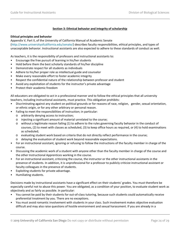# **Section 3: Ethnical behavior and integrity of scholarship**

#### **Ethical principles and behavior**

Appendix V, Part II, of the University of California Manual of Academic Senate (http://www.universityofcalifornia.edu/senate/) describes faculty responsibilities, ethical principles, and types of unacceptable behavior. Instructional assistants are also expected to adhere to these standards of conduct as well.

As teachers, it is the responsibility of professors and instructional assistants to:

- Encourage the free pursuit of learning in his/her students
- Hold before them the best scholarly standards of his/her discipline
- Demonstrate respect for all students as individuals
- Adhere to his/her proper role as intellectual guide and counselor
- Make every reasonable effort to foster academic integrity
- Respect the confidential nature of the relationship between professor and student
- Avoid any exploitation of students for the instructor's private advantage
- Protect their academic freedom

All educators are obligated to act in a professional manner and to follow the ethical principles that all university teachers, including instructional assistants, must practice. This obligation prohibits:

- Discriminating against any student on political grounds or for reasons of race, religion, gender, sexual orientation, or ethnic origin, or for any other arbitrary or personal reason.
- Failing to meet the responsibilities of instruction; in particular:
	- o arbitrarily denying access to instruction;
	- o injecting a significant amount of material unrelated to the course;
	- o without a legitimate reason failing (1) to adhere to the rules governing faculty behavior in the conduct of courses, (2) to meet with classes as scheduled, (3) to keep office hours as required, or (4) to hold examinations as scheduled;
	- o evaluating student work based on criteria that do not directly reflect performance in the course;
	- o delaying the evaluation of student work beyond reasonable expectations.
- For an instructional assistant, ignoring or refusing to follow the instructions of the faculty member in charge of the course.
- Discussing the academic work of a student with anyone other than the faculty member in charge of the course and the other Instructional Apprentices working in the course.
- For an instructional assistant, criticizing the course, the instructor or the other instructional assistants in the presence of students. In addition, it is unprofessional for a professor to publicly criticize instructional assistant or faculty colleagues in the presence of students.
- Exploiting students for private advantage.
- Humiliating students.

Decisions made by instructional assistants have a significant effect on their students' grades. You must therefore be especially careful not to abuse this power. You are obligated, as a condition of your position, to evaluate student work as objectively and as fairly as possible. In particular:

- You cannot be paid by their students for out-of-class tutoring, because such students could automatically receive preferential treatment by you. There are no exceptions.
- You must avoid romantic involvement with students in your class. Such involvement makes objective evaluation difficult and may also raise questions of hostile environment and sexual harassment. If you are already in a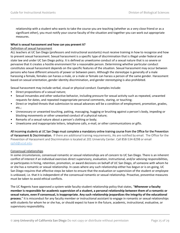relationship with a student who wants to take the course you are teaching (whether as a very close friend or as a significant other), you must notify your course faculty of the situation and together you can work out appropriate measures.

#### **What is sexual harassment and how can you prevent it?**

#### Definition of sexual harassment

ALL teachers at UC San Diego (professors and instructional assistants) must receive training in how to recognize and how to prevent sexual harassment. Sexual harassment is a specific type of discrimination that is illegal under federal and state law and under UC San Diego policy. It is defined as unwelcome conduct of a sexual nature that is so severe or pervasive that it creates a hostile environment for a reasonable person. Determining whether particular conduct constitutes sexual harassment depends on the specific features of the situation. Sexual harassment may occur between persons who have different amounts of power or between peers. Although the stereotype is generally of a male harassing a female, females can harass a male, or a male or female can harass a person of the same gender. Harassment based on sexual orientation, gender identity discrimination, and gender stereotyping is also prohibited.

Sexual harassment may include verbal, visual or physical conduct. Examples include:

- Direct propositions of a sexual nature;
- Sexual innuendos and other seductive behavior, including pressure for sexual activity such as repeated, unwanted requests for dates, and repeated inappropriate personal comments, staring, or touching;
- Direct or implied threats that submission to sexual advances will be a condition of employment, promotion, grades, etc.;
- Unnecessary or unwanted touching, patting, massaging, hugging or brushing against a person's body, impeding or blocking movements or other unwanted conduct of a physical nature;
- Remarks of a sexual nature about a person's clothing or body;
- Unwelcome and inappropriate letters, telephone calls, e-mail, or other communications or gifts.

All incoming students at UC San Diego must complete a mandatory online training course from the Office for the Prevention of Harassment & Discrimination. If there are additional training requirements, IAs are notified by email. The Office for the Prevention of Harassment and Discrimination is located at 201 University Center. Call 858-534-8298 or email [ophd@ucsd.edu.](mailto:ophd@ucsd.edu)

#### Consensual relationships

In some circumstances, consensual romantic or sexual relationships are of concern to UC San Diego. There is an inherent conflict of interest if an individual exercises direct supervisory, evaluation, instructional, and/or advising responsibilities, or participates in hiring, retention, promotion, or award decisions on behalf of UC San Diego, of someone with whom he or she has a romantic or sexual relationship. In cases where any such relationship either has begun or is on-going, UC San Diego requires that effective steps be taken to ensure that the evaluation or supervision of the student or employee is unbiased, i.e. that it is independent of the consensual romantic or sexual relationship. Proactive, preventive measures must be taken to avoid ethical conflicts.

The UC Regents have approved a system-wide faculty-student relationship policy that states, "**Whenever a faculty member is responsible for academic supervision of a student, a personal relationship between them of a romantic or sexual nature, even if consensual, is inappropriate. Any such relationship jeopardizes the integrity of the educational process.**" It is misconduct for any faculty member or instructional assistant to engage in romantic or sexual relationships with students for whom he or she has, or should expect to have in the future, academic, instructional, evaluative, or supervisory responsibility.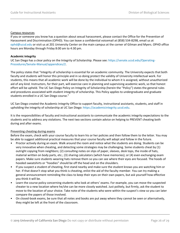#### Campus resources

If you or someone you know has a question about sexual harassment, please contact the Office for the Prevention of Harassment and Discrimination (OPHD). You can leave a confidential voicemail at (858) 534-8298, email us at [ophd@ucsd.edu](mailto:oshpp@ucsd.edu) or visit us at 201 University Center on the main campus at the corner of Gilman and Myers. OPHD office hours are Monday through Friday 8:00 am to 4:30 pm.

#### **Academic integrity**

UC San Diego has a clear policy on the Integrity of Scholarship. Please see: [https://senate.ucsd.edu/Operating-](https://senate.ucsd.edu/Operating-Procedures/Senate-Manual/appendices/2)[Procedures/Senate-Manual/appendices/2.](https://senate.ucsd.edu/Operating-Procedures/Senate-Manual/appendices/2)

The policy states that "Integrity of scholarship is essential for an academic community. The University expects that both faculty and students will honor this principle and in so doing protect the validity of University intellectual work. For students, this means that all academic work will be done by the individual to whom it is assigned, without unauthorized aid of any kind. Instructors, for their part, will exercise care in planning and supervising academic work, so that honest effort will be upheld. The UC San Diego Policy on Integrity of Scholarship (herein the "Policy") states the general rules and procedures associated with student integrity of scholarship. This Policy applies to undergraduate and graduate students enrolled in a UC San Diego course."

UC San Diego created the Academic Integrity Office to support faculty, instructional assistants, students, and staff in upholding the integrity of scholarship at UC San Diego: [https://academicintegrity.ucsd.edu.](https://academicintegrity.ucsd.edu/)

It is the responsibilities of faculty and instructional assistants to communicate the academic integrity expectations to the students and to address any violations. The next two sections contain advice on helping to PREVENT cheating both during and after exams.

#### Preventing cheating during exams

Before the exam, check with your course faculty to learn his or her policies and then follow them to the letter. You may be able to suggest additional practical measures that your course faculty will adopt and follow in the future.

- Proctor actively during an exam. Walk around the room and notice what the students are doing. Students can be very innovative when cheating, and detecting some strategies may be challenging. Some students cheat by (1) outright copying from neighbors; (2) consulting notes on slips of paper, sleeves, desk tops, the inside of hats, material written on body parts, etc.; (3) sharing calculators (which have memories); or (4) even exchanging exam papers. Make sure students wearing hats remove them so you can see where their eyes are focused. The hoods of hooded sweatshirts or "hoodies" should be off the head and on the shoulders.
- If you suspect a student of cheating, first stand nearby and make sure the student knows you are watching him or her. If that doesn't stop what you think is cheating, enlist the aid of the faculty member. You can try making a general announcement reminding the class to keep their eyes on their own papers, but ask yourself how effective you think it will be.
- Learn the course policy concerning students who look at others' exams. For example, you can move the suspected cheater to a new location where he/she can be more closely watched. Just politely, but firmly, ask the student to move to the location of your choice. Take note of the students who were within the suspect's view so you can later compare the papers of those involved.
- On closed-book exams, be sure that all notes and books are put away where they cannot be seen or alternatively, they might be left at the front of the classroom.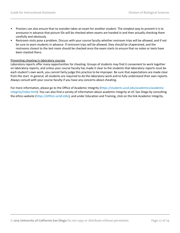- Proctors can also ensure that no outsider takes an exam for another student. The simplest way to prevent it is to announce in advance that picture IDs will be checked when exams are handed in and then actually checking them carefully and obviously.
- Restroom visits pose a problem. Discuss with your course faculty whether restroom trips will be allowed, and if not be sure to warn students in advance. If restroom trips will be allowed, they should be chaperoned, and the restrooms closest to the test room should be checked once the exam starts to ensure that no notes or texts have been stashed there.

#### Preventing cheating in laboratory courses

Laboratory reports offer many opportunities for cheating. Groups of students may find it convenient to work together on laboratory reports, and unless your course faculty has made it clear to the students that laboratory reports must be each student's own work, you cannot fairly judge this practice to be improper. Be sure that expectations are made clear from the start. In general, all students are required to do the laboratory work and to fully understand their own reports. Always consult with your course faculty if you have any concerns about cheating.

For more information, please go to the Office of Academic Integrity [\(https://students.ucsd.edu/academics/academic](https://students.ucsd.edu/academics/academic-integrity/index.html)[integrity/index.html\)](https://students.ucsd.edu/academics/academic-integrity/index.html). You can also find a variety of information about academic integrity at UC San Diego by consulting the ethics website [\(https://ethics.ucsd.edu\)](https://ethics.ucsd.edu/), and under Education and Training, click on the link Academic Integrity.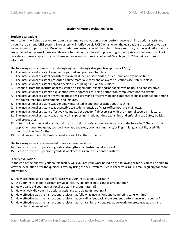# **Section 4: Recent evaluation forms**

#### **Student evaluations**

Your students will also be asked to submit a summative evaluation of your performance as an instructional assistant through the campus ASES system. The system will notify you via UCSD email when the evaluations are active so you can invite students to participate. Once final grades are posted, you will be able to view a summary of the evaluations at the link provided in the email message. Please note that, in the interest of protecting student privacy, the campus will not provide a summary report for you if three or fewer evaluations are collected. Watch your UCSD email for more information.

The following items are rated from strongly agree to strongly disagree (except items 12-15).

- 1. The Instructional assistant was well organized and prepared for class.
- 2. The Instructional assistant consistently arrived at lecture, section/lab, office hours and exams on time.
- 3. The Instructional assistant presented course material clearly and answered questions accurately in class.
- 4. The Instructional assistant helped develop my thinking skills on the subject.
- 5. Feedback from the Instructional assistant on assignments, exams and/or papers was helpful and constructive.
- 6. The Instructional assistant's explanations were appropriate, being neither too complicated nor too simple.
- 7. The Instructional assistant answered questions clearly and effectively, helping students to make connections among the course readings, assignments, and lectures.
- 8. The Instructional assistant was genuinely interested in and enthusiastic about teaching.
- 9. The Instructional assistant was accessible to students outside of class (office hours, e-mail, etc.).
- 10. The Instructional assistant effectively connected the section/lab exercises with the material covered in lecture.
- 11. The Instructional assistant was effective in supporting, implementing, explaining and enforcing Lab Safety policies and procedures.
- 12. In terms of communication skills, did the Instructional assistant demonstrate any of the following? Check all that apply: no issues, too quiet, too loud, too fast, too slow, poor grammar and/or English language skills, used filler words such as "um", other.
- 13. I would recommend this Instructional assistant to other students.

The following items are open-ended, free-response questions.

- 14. Please describe this person's greatest strengths as an Instructional assistant.
- 15. Please describe this person's greatest weaknesses as an Instructional assistant.

#### **Faculty evaluation**

At the end of the quarter, your course faculty will evaluate your work based on the following criteria. You will be able to view the evaluation after the quarter is over by using the ASES system. Please check your UCSD email regularly for more information.

- 1. How organized and prepared for class was your instructional assistant?
- 2. Did your Instructional assistant arrive at lecture, lab, office hours and exams on time?
- 3. How clearly did your Instructional assistant present material?
- 4. How actively did your Instructional assistant participate in meetings?
- 5. How effective was the Instructional assistant at following instructions and completing tasks on time?
- 6. How effective was the Instructional assistant at providing feedback about student performance in the course?
- 7. How effective was the Instructional assistant at maintaining any required paperwork (quizzes, grades, etc.) and providing it when asked?